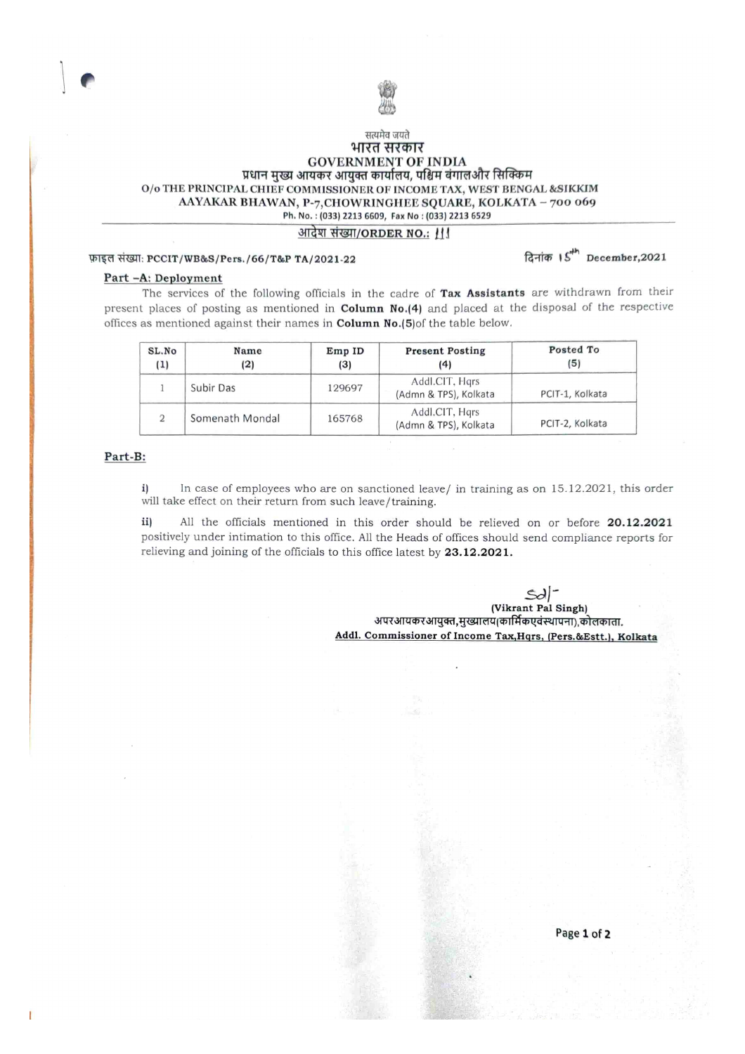

# सत्यमेव जयते भारत सरकार GOVERNMENT OF INDIA<br>प्रधान मुख्य आयकर आयुक्त कार्यालय, पश्चिम बंगालऔर सिक्किम O/o THE PRINCIPAL CHIEF COMMISSIONER OF INCOME TAX, WEST BENGAL &SIKKIM AAYAKAR BHAWAN, P-7, CHOWRINGHEE SQUARE, KOLKATA - 700 069 Ph. No.: (033) 2213 6609, Fax No : (033) 2213 6529

## आदेश संख्या/ORDER NO.: III

# फ़ाइल संख्या: PCCIT/WB&S/Pers./66/T&P TA/2021-22 faith and factor of  $\mathbb{S}^{4h}$  December,2021

#### Part-A: Deployment

The services of the following officials in the cadre of Tax Assistants are withdrawn from their present places of posting as mentioned in Column No.[4] and placed at the disposal of the respective offices as mentioned against their names in **Column No.(5)**of the table below.

| SL.No<br>(1) | Name<br>(2)     | EmpID<br>(3) | <b>Present Posting</b><br>(4)           | Posted To<br>(5) |
|--------------|-----------------|--------------|-----------------------------------------|------------------|
|              | Subir Das       | 129697       | Addl.CIT, Hars<br>(Admn & TPS), Kolkata | PCIT-1, Kolkata  |
| 2            | Somenath Mondal | 165768       | Addl.CIT, Hgrs<br>(Admn & TPS), Kolkata | PCIT-2, Kolkata  |

#### Part-B:

i) will take effect on their return from such leave/training. In case of employees who are on sanctioned leave/ in training as on 15.12.202 1, this order

ii) positively under intimation to this office. All the Heads of offices should send compliance reports for relieving and joining of the officials to this office latest by 23.12.2021. All the officials mentioned in this order should be relieved on or before 20.12.2021

 $\infty$ 

(Vikrant Pal Singh) अपरआयकरआयुक्त,मुख्यालय(कार्मिकएवंस्थापना),कोलकाता. Addl. Commissioner of Income Tax, Hqrs, (Pers.&Estt.), Kolkata

Page 1 of 2